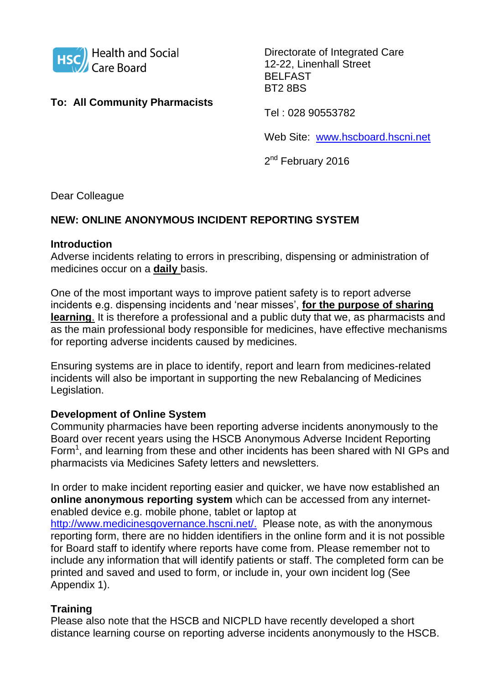

# **To: All Community Pharmacists**

Directorate of Integrated Care 12-22, Linenhall Street BELFAST BT2 8BS

Tel : 028 90553782

Web Site: [www.hscboard.hscni.net](http://www.hscboard.hscni.net/)

2<sup>nd</sup> February 2016

Dear Colleague

## **NEW: ONLINE ANONYMOUS INCIDENT REPORTING SYSTEM**

### **Introduction**

Adverse incidents relating to errors in prescribing, dispensing or administration of medicines occur on a **daily** basis.

One of the most important ways to improve patient safety is to report adverse incidents e.g. dispensing incidents and 'near misses', **for the purpose of sharing learning**. It is therefore a professional and a public duty that we, as pharmacists and as the main professional body responsible for medicines, have effective mechanisms for reporting adverse incidents caused by medicines.

Ensuring systems are in place to identify, report and learn from medicines-related incidents will also be important in supporting the new Rebalancing of Medicines Legislation.

### **Development of Online System**

Community pharmacies have been reporting adverse incidents anonymously to the Board over recent years using the HSCB Anonymous Adverse Incident Reporting Form<sup>1</sup>, and learning from these and other incidents has been shared with NI GPs and pharmacists via Medicines Safety letters and newsletters.

In order to make incident reporting easier and quicker, we have now established an **online anonymous reporting system** which can be accessed from any internetenabled device e.g. mobile phone, tablet or laptop at

[http://www.medicinesgovernance.hscni.net/.](http://www.medicinesgovernance.hscni.net/) Please note, as with the anonymous reporting form, there are no hidden identifiers in the online form and it is not possible for Board staff to identify where reports have come from. Please remember not to include any information that will identify patients or staff. The completed form can be printed and saved and used to form, or include in, your own incident log (See Appendix 1).

## **Training**

Please also note that the HSCB and NICPLD have recently developed a short distance learning course on reporting adverse incidents anonymously to the HSCB.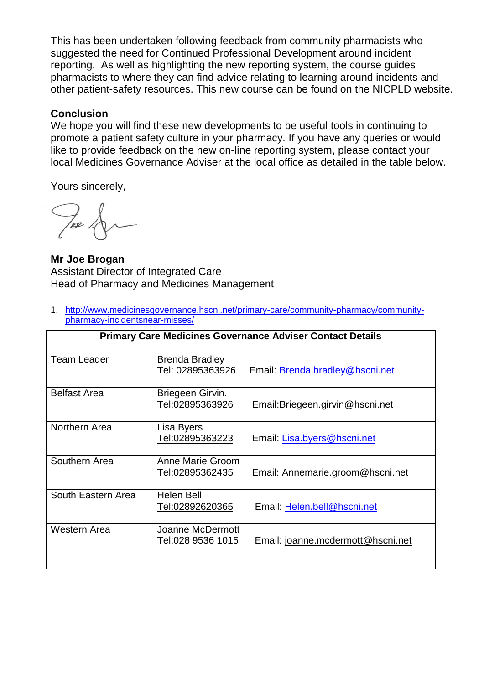This has been undertaken following feedback from community pharmacists who suggested the need for Continued Professional Development around incident reporting. As well as highlighting the new reporting system, the course guides pharmacists to where they can find advice relating to learning around incidents and other patient-safety resources. This new course can be found on the NICPLD website.

### **Conclusion**

We hope you will find these new developments to be useful tools in continuing to promote a patient safety culture in your pharmacy. If you have any queries or would like to provide feedback on the new on-line reporting system, please contact your local Medicines Governance Adviser at the local office as detailed in the table below.

Yours sincerely,

 $\frac{1}{e}$ 

**Mr Joe Brogan** Assistant Director of Integrated Care Head of Pharmacy and Medicines Management

1. [http://www.medicinesgovernance.hscni.net/primary-care/community-pharmacy/community](http://www.medicinesgovernance.hscni.net/primary-care/community-pharmacy/community-pharmacy-incidentsnear-misses/)[pharmacy-incidentsnear-misses/](http://www.medicinesgovernance.hscni.net/primary-care/community-pharmacy/community-pharmacy-incidentsnear-misses/)

| <b>Primary Care Medicines Governance Adviser Contact Details</b> |                                           |                                   |  |  |
|------------------------------------------------------------------|-------------------------------------------|-----------------------------------|--|--|
| <b>Team Leader</b>                                               | <b>Brenda Bradley</b><br>Tel: 02895363926 | Email: Brenda.bradley@hscni.net   |  |  |
| <b>Belfast Area</b>                                              | Briegeen Girvin.<br>Tel:02895363926       | Email: Briegeen.girvin@hscni.net  |  |  |
| Northern Area                                                    | Lisa Byers<br>Tel:02895363223             | Email: Lisa.byers@hscni.net       |  |  |
| Southern Area                                                    | Anne Marie Groom<br>Tel:02895362435       | Email: Annemarie.groom@hscni.net  |  |  |
| South Eastern Area                                               | <b>Helen Bell</b><br>Tel:02892620365      | Email: Helen.bell@hscni.net       |  |  |
| Western Area                                                     | Joanne McDermott<br>Tel:028 9536 1015     | Email: joanne.mcdermott@hscni.net |  |  |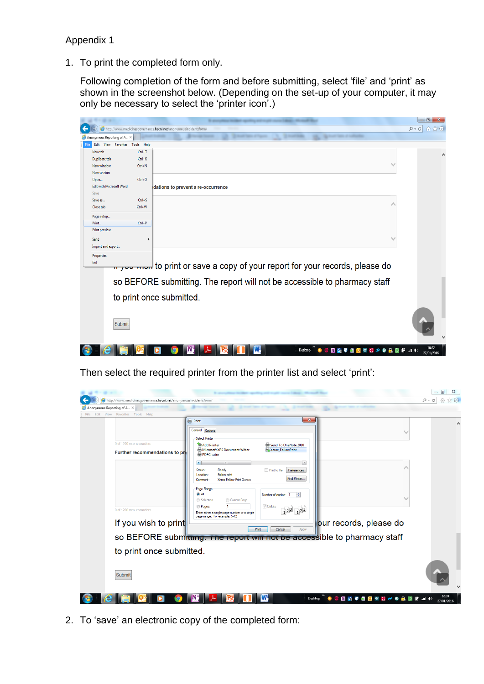#### Appendix 1

1. To print the completed form only.

Following completion of the form and before submitting, select 'file' and 'print' as shown in the screenshot below. (Depending on the set-up of your computer, it may only be necessary to select the 'printer icon'.)



Then select the required printer from the printer list and select 'print':



2. To 'save' an electronic copy of the completed form: